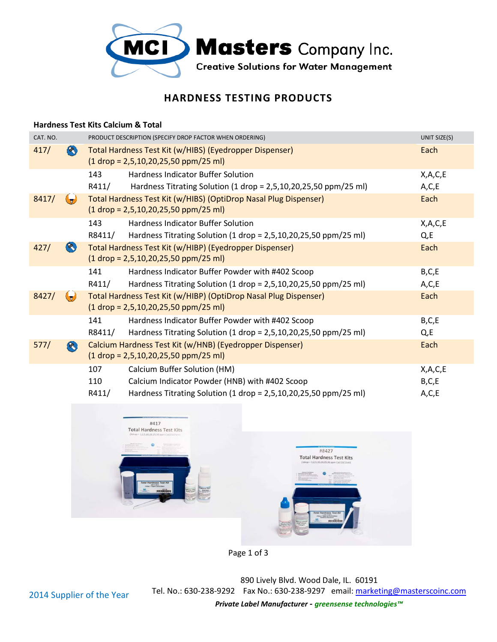

## **HARDNESS TEST TESTING PRODUCTS**

## **Hardness Test Kits Calcium & Total**

| CAT. NO. |                   | PRODUCT DESCRIPTION (SPECIFY DROP FACTOR WHEN ORDERING)                                                    | UNIT SIZE(S) |
|----------|-------------------|------------------------------------------------------------------------------------------------------------|--------------|
| 417/     | $\infty$          | Total Hardness Test Kit (w/HIBS) (Eyedropper Dispenser)<br>$(1$ drop = 2,5,10,20,25,50 ppm/25 ml)          | Each         |
|          |                   | <b>Hardness Indicator Buffer Solution</b><br>143                                                           | X,A,C,E      |
|          |                   | Hardness Titrating Solution (1 drop = 2,5,10,20,25,50 ppm/25 ml)<br>R411/                                  | A, C, E      |
| 8417/    |                   | Total Hardness Test Kit (w/HIBS) (OptiDrop Nasal Plug Dispenser)<br>$(1$ drop = 2,5,10,20,25,50 ppm/25 ml) | Each         |
|          |                   | 143<br><b>Hardness Indicator Buffer Solution</b>                                                           | X, A, C, E   |
|          |                   | Hardness Titrating Solution (1 drop = 2,5,10,20,25,50 ppm/25 ml)<br>R8411/                                 | $Q$ , E      |
| 427/     | $\left( 8\right)$ | Total Hardness Test Kit (w/HIBP) (Eyedropper Dispenser)                                                    | Each         |
|          |                   | $(1$ drop = 2,5,10,20,25,50 ppm/25 ml)                                                                     |              |
|          |                   | 141<br>Hardness Indicator Buffer Powder with #402 Scoop                                                    | B,C,E        |
|          |                   | Hardness Titrating Solution (1 drop = 2,5,10,20,25,50 ppm/25 ml)<br>R411/                                  | A, C, E      |
| 8427/    |                   | Total Hardness Test Kit (w/HIBP) (OptiDrop Nasal Plug Dispenser)                                           | Each         |
|          |                   | $(1$ drop = 2,5,10,20,25,50 ppm/25 ml)                                                                     |              |
|          |                   | 141<br>Hardness Indicator Buffer Powder with #402 Scoop                                                    | B, C, E      |
|          |                   | Hardness Titrating Solution (1 drop = 2,5,10,20,25,50 ppm/25 ml)<br>R8411/                                 | Q,E          |
| 577/     | $\otimes$         | Calcium Hardness Test Kit (w/HNB) (Eyedropper Dispenser)                                                   | Each         |
|          |                   | $(1$ drop = 2,5,10,20,25,50 ppm/25 ml)                                                                     |              |
|          |                   | Calcium Buffer Solution (HM)<br>107                                                                        | X, A, C, E   |
|          |                   | Calcium Indicator Powder (HNB) with #402 Scoop<br>110                                                      | B,C,E        |
|          |                   | Hardness Titrating Solution (1 drop = 2,5,10,20,25,50 ppm/25 ml)<br>R411/                                  | A,C,E        |





890 Lively Blvd. Wood Dale, IL. 60191 630-238-9292 Fax No.: 630-238-9297 email: marketing@masterscoinc.com Dale, marketing@masterscoinc.com *Private Label Manufacturer - greensense technologies™*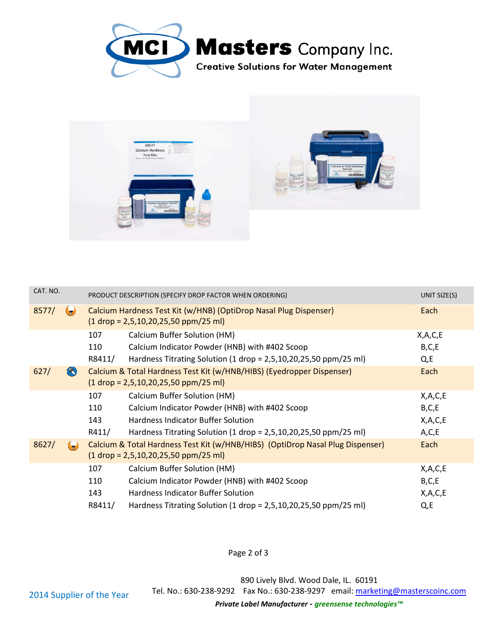



| CAT. NO. |                   | PRODUCT DESCRIPTION (SPECIFY DROP FACTOR WHEN ORDERING)                                                                  | UNIT SIZE(S) |
|----------|-------------------|--------------------------------------------------------------------------------------------------------------------------|--------------|
| 8577/    | ( T               | Calcium Hardness Test Kit (w/HNB) (OptiDrop Nasal Plug Dispenser)<br>$(1$ drop = 2,5,10,20,25,50 ppm/25 ml)              | Each         |
|          |                   | Calcium Buffer Solution (HM)<br>107                                                                                      | X, A, C, E   |
|          |                   | Calcium Indicator Powder (HNB) with #402 Scoop<br>110                                                                    | B, C, E      |
|          |                   | Hardness Titrating Solution (1 drop = $2,5,10,20,25,50$ ppm/25 ml)<br>R8411/                                             | Q,E          |
| 627/     | $\left( 8\right)$ | Calcium & Total Hardness Test Kit (w/HNB/HIBS) (Eyedropper Dispenser)<br>$(1$ drop = 2,5,10,20,25,50 ppm/25 ml)          | Each         |
|          |                   | 107<br>Calcium Buffer Solution (HM)                                                                                      | X, A, C, E   |
|          |                   | Calcium Indicator Powder (HNB) with #402 Scoop<br>110                                                                    | B, C, E      |
|          |                   | 143<br>Hardness Indicator Buffer Solution                                                                                | X, A, C, E   |
|          |                   | R411/<br>Hardness Titrating Solution (1 drop = $2,5,10,20,25,50$ ppm/25 ml)                                              | A, C, E      |
| 8627/    |                   | Calcium & Total Hardness Test Kit (w/HNB/HIBS) (OptiDrop Nasal Plug Dispenser)<br>$(1$ drop = 2,5,10,20,25,50 ppm/25 ml) | Each         |
|          |                   | Calcium Buffer Solution (HM)<br>107                                                                                      | X, A, C, E   |
|          |                   | 110<br>Calcium Indicator Powder (HNB) with #402 Scoop                                                                    | B, C, E      |
|          |                   | 143<br>Hardness Indicator Buffer Solution                                                                                | X, A, C, E   |
|          |                   | R8411/<br>Hardness Titrating Solution (1 drop = $2,5,10,20,25,50$ ppm/25 ml)                                             | $Qz$ E       |

Page 2 of 3

890 Lively Blvd. Wood Dale, IL. 60191 630-238-9292 Fax No.: 630-238-9297 email: marketing@masterscoinc.com Dale, marketing@masterscoinc.com

*Private Label Manufacturer - greensense technologies™*